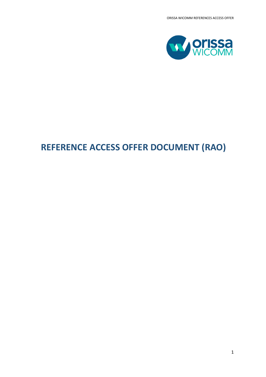

# **REFERENCE ACCESS OFFER DOCUMENT (RAO)**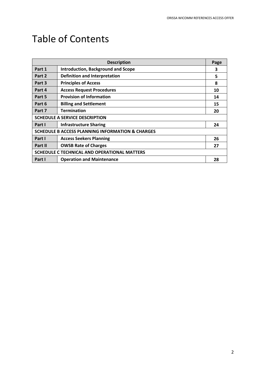# Table of Contents

| <b>Description</b>                                          |                                           |    |  |  |
|-------------------------------------------------------------|-------------------------------------------|----|--|--|
| Part 1                                                      | <b>Introduction, Background and Scope</b> |    |  |  |
| Part 2                                                      | <b>Definition and Interpretation</b>      |    |  |  |
| Part 3                                                      | <b>Principles of Access</b>               |    |  |  |
| Part 4                                                      | <b>Access Request Procedures</b>          |    |  |  |
| Part 5                                                      | <b>Provision of Information</b>           |    |  |  |
| Part 6                                                      | <b>Billing and Settlement</b>             | 15 |  |  |
| Part 7                                                      | <b>Termination</b>                        | 20 |  |  |
| SCHEDULE A SERVICE DESCRIPTION                              |                                           |    |  |  |
| Part I                                                      | <b>Infrastructure Sharing</b>             |    |  |  |
| <b>SCHEDULE B ACCESS PLANNING INFORMATION &amp; CHARGES</b> |                                           |    |  |  |
| Part I                                                      | <b>Access Seekers Planning</b>            | 26 |  |  |
| Part II                                                     | <b>OWSB Rate of Charges</b>               | 27 |  |  |
| SCHEDULE C TECHNICAL AND OPERATIONAL MATTERS                |                                           |    |  |  |
| Part I                                                      | <b>Operation and Maintenance</b>          | 28 |  |  |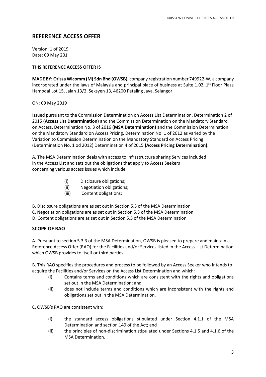# **REFERENCE ACCESS OFFER**

Version: 1 of 2019 Date: 09 May 201

## **THIS REFERENCE ACCESS OFFER IS**

**MADE BY: Orissa Wicomm (M) Sdn Bhd (OWSB),** company registration number 749922-W, a company incorporated under the laws of Malaysia and principal place of business at Suite 1.02, 1<sup>st</sup> Floor Plaza Hamodal Lot 15, Jalan 13/2, Seksyen 13, 46200 Petaling Jaya, Selangor

# ON: 09 May 2019

Issued pursuant to the Commission Determination on Access List Determination, Determination 2 of 2015 **(Access List Determination)** and the Commission Determination on the Mandatory Standard on Access, Determination No. 3 of 2016 **(MSA Determination)** and the Commission Determination on the Mandatory Standard on Access Pricing, Determination No. 1 of 2012 as varied by the Variation to Commission Determination on the Mandatory Standard on Access Pricing (Determination No. 1 od 2012) Determination 4 of 2015 **(Access Pricing Determination)**.

A. The MSA Determination deals with access to infrastructure sharing Services included in the Access List and sets out the obligations that apply to Access Seekers concerning various access issues which include:

- (i) Disclosure obligations;
- (ii) Negotiation obligations;
- (iii) Content obligations;
- B. Disclosure obligations are as set out in Section 5.3 of the MSA Determination
- C. Negotiation obligations are as set out in Section 5.3 of the MSA Determination
- D. Content obligations are as set out in Section 5.5 of the MSA Determination

# **SCOPE OF RAO**

A. Pursuant to section 5.3.3 of the MSA Determination, OWSB is pleased to prepare and maintain a Reference Access Offer (RAO) for the Facilities and/or Services listed in the Access List Determination which OWSB provides to itself or third parties.

B. This RAO specifies the procedures and process to be followed by an Access Seeker who intends to acquire the Facilities and/or Services on the Access List Determination and which:

- (i) Contains terms and conditions which are consistent with the rights and obligations set out in the MSA Determination; and
- (ii) does not include terms and conditions which are inconsistent with the rights and obligations set out in the MSA Determination.

C. OWSB's RAO are consistent with:

- (i) the standard access obligations stipulated under Section 4.1.1 of the MSA Determination and section 149 of the Act; and
- (ii) the principles of non-discrimination stipulated under Sections 4.1.5 and 4.1.6 of the MSA Determination.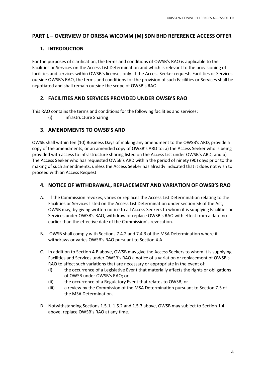# **PART 1 – OVERVIEW OF ORISSA WICOMM (M) SDN BHD REFERENCE ACCESS OFFER**

# **1. INTRODUCTION**

For the purposes of clarification, the terms and conditions of OWSB's RAO is applicable to the Facilities or Services on the Access List Determination and which is relevant to the provisioning of facilities and services within OWSB's licenses only. If the Access Seeker requests Facilities or Services outside OWSB's RAO, the terms and conditions for the provision of such Facilities or Services shall be negotiated and shall remain outside the scope of OWSB's RAO.

# **2. FACILITIES AND SERVICES PROVIDED UNDER OWSB'S RAO**

This RAO contains the terms and conditions for the following facilities and services:

(i) Infrastructure Sharing

# **3. AMENDMENTS TO OWSB'S ARD**

OWSB shall within ten (10) Business Days of making any amendment to the OWSB's ARD, provide a copy of the amendments, or an amended copy of OWSB's ARD to: a) the Access Seeker who is being provided with access to infrastructure sharing listed on the Access List under OWSB's ARD; and b) The Access Seeker who has requested OWSB's ARD within the period of ninety (90) days prior to the making of such amendments, unless the Access Seeker has already indicated that it does not wish to proceed with an Access Request.

# **4. NOTICE OF WITHDRAWAL, REPLACEMENT AND VARIATION OF OWSB'S RAO**

- A. If the Commission revokes, varies or replaces the Access List Determination relating to the Facilities or Services listed on the Access List Determination under section 56 of the Act, OWSB may, by giving written notice to all Access Seekers to whom it is supplying Facilities or Services under OWSB's RAO, withdraw or replace OWSB's RAO with effect from a date no earlier than the effective date of the Commission's revocation.
- B. OWSB shall comply with Sections 7.4.2 and 7.4.3 of the MSA Determination where it withdraws or varies OWSB's RAO pursuant to Section 4.A
- C. In addition to Section 4.B above, OWSB may give the Access Seekers to whom it is supplying Facilities and Services under OWSB's RAO a notice of a variation or replacement of OWSB's RAO to affect such variations that are necessary or appropriate in the event of:
	- (i) the occurrence of a Legislative Event that materially affects the rights or obligations of OWSB under OWSB's RAO; or
	- (ii) the occurrence of a Regulatory Event that relates to OWSB; or
	- (iii) a review by the Commission of the MSA Determination pursuant to Section 7.5 of the MSA Determination.
- D. Notwithstanding Sections 1.5.1, 1.5.2 and 1.5.3 above, OWSB may subject to Section 1.4 above, replace OWSB's RAO at any time.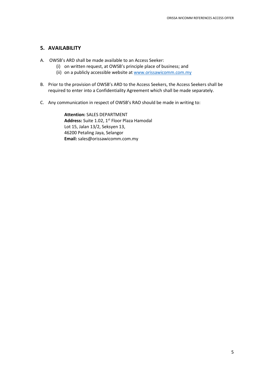# **5. AVAILABILITY**

- A. OWSB's ARD shall be made available to an Access Seeker:
	- (i) on written request, at OWSB's principle place of business; and
	- (ii) on a publicly accessible website a[t www.orissawicomm.com.my](http://www.orissawicomm.com.my/)
- B. Prior to the provision of OWSB's ARD to the Access Seekers, the Access Seekers shall be required to enter into a Confidentiality Agreement which shall be made separately.
- C. Any communication in respect of OWSB's RAO should be made in writing to:

**Attention:** SALES DEPARTMENT Address: Suite 1.02, 1<sup>st</sup> Floor Plaza Hamodal Lot 15, Jalan 13/2, Seksyen 13, 46200 Petaling Jaya, Selangor **Email:** sales@orissawicomm.com.my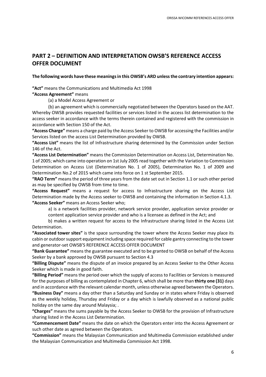# **PART 2 – DEFINITION AND INTERPRETATION OWSB'S REFERENCE ACCESS OFFER DOCUMENT**

#### **The following words have these meanings in this OWSB's ARD unless the contrary intention appears:**

**"Act"** means the Communications and Multimedia Act 1998

**"Access Agreement"** means

(a) a Model Access Agreement or

(b) an agreement which is commercially negotiated between the Operators based on the AAT. Whereby OWSB provides requested facilities or services listed in the access list determination to the access seeker in accordance with the terms therein contained and registered with the commission in accordance with Section 150 of the Act.

**"Access Charge"** means a charge paid by the Access Seeker to OWSB for accessing the Facilities and/or Services listed on the access List Determination provided by OWSB.

**"Access List"** means the list of Infrastructure sharing determined by the Commission under Section 146 of the Act.

**"Access List Determination"** means the Commission Determination on Access List, Determination No. 1 of 2005; which came into operation on 1st July 2005 read together with the Variation to Commission Determination on Access List (Determination No. 1 of 2005), Determination No. 1 of 2009 and Determination No.2 of 2015 which came into force on 1 st September 2015.

**"RAO Term"** means the period of three years from the date set out in Section 1.1 or such other period as may be specified by OWSB from time to time.

**"Access Request"** means a request for access to Infrastructure sharing on the Access List Determination made by the Access seeker to OWSB and containing the information in Section 4.1.3. **"Access Seeker"** means an Access Seeker who;

a) is a network facilities provider, network service provider, application service provider or content application service provider and who is a licensee as defined in the Act; and

b) makes a written request for access to the Infrastructure sharing listed in the Access List Determination.

**"Associated tower sites"** is the space surrounding the tower where the Access Seeker may place its cabin or outdoor support equipment including space required for cable gantry connecting to the tower and generator-set OWSB'S REFERENCE ACCESS OFFER DOCUMENT

**"Bank Guarantee"** means the guarantee executed and to be granted to OWSB on behalf of the Access Seeker by a bank approved by OWSB pursuant to Section 4.3

**"Billing Dispute"** means the dispute of an invoice prepared by an Access Seeker to the Other Access Seeker which is made in good faith.

**"Billing Period"** means the period over which the supply of access to Facilities or Services is measured for the purposes of billing as contemplated in Chapter 6, which shall be more than **thirty one (31)** days and in accordance with the relevant calendar month, unless otherwise agreed between the Operators.

**"Business Day"** means a day other than a Saturday and Sunday or in states where Friday is observed as the weekly holiday, Thursday and Friday or a day which is lawfully observed as a national public holiday on the same day around Malaysia; .

**"Charges"** means the sums payable by the Access Seeker to OWSB for the provision of Infrastructure sharing listed in the Access List Determination.

**"Commencement Date"** means the date on which the Operators enter into the Access Agreement or such other date as agreed between the Operators.

**"Commission"** means the Malaysian Communication and Multimedia Commission established under the Malaysian Communication and Multimedia Commission Act 1998.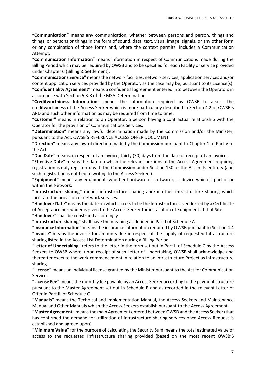**"Communication"** means any communication, whether between persons and person, things and things, or persons or things in the form of sound, data, text, visual image, signals, or any other form or any combination of those forms and, where the context permits, includes a Communication Attempt.

"**Communication Information**" means information in respect of Communications made during the Billing Period which may be required by OWSB and to be specified for each Facility or service provided under Chapter 6 (Billing & Settlement).

**"Communications Service"** means the network facilities, network services, application services and/or content application services provided by the Operator, as the case may be, pursuant to its Licence(s).

**"Confidentiality Agreement**" means a confidential agreement entered into between the Operators in accordance with Section 5.3.8 of the MSA Determination.

**"Creditworthiness Information"** means the information required by OWSB to assess the creditworthiness of the Access Seeker which is more particularly described in Section 4.2 of OWSB's ARD and such other information as may be required from time to time.

**"Customer"** means in relation to an Operator, a person having a contractual relationship with the Operator for the provision of Communications Services.

**"Determination"** means any lawful determination made by the Commission and/or the Minister, pursuant to the Act. OWSB'S REFERENCE ACCESS OFFER DOCUMENT

**"Direction"** means any lawful direction made by the Commission pursuant to Chapter 1 of Part V of the Act.

**"Due Date"** means, in respect of an invoice, thirty (30) days from the date of receipt of an invoice.

**"Effective Date"** means the date on which the relevant portions of the Access Agreement requiring registration is duly registered with the Commission under Section 150 or the Act in its entirety (and such registration is notified in writing to the Access Seekers).

**"Equipment"** means any equipment (whether hardware or software), or device which is part of or within the Network.

**"Infrastructure sharing"** means infrastructure sharing and/or other infrastructure sharing which facilitate the provision of network services.

**"Handover Date"** means the date on which access to be the Infrastructure as endorsed by a Certificate of Acceptance hereunder is given to the Access Seeker for installation of Equipment at that Site.

**"Handover"** shall be construed accordingly

**"Infrastructure sharing"** shall have the meaning as defined in Part I of Schedule A

**"Insurance Information"** means the insurance information required by OWSB pursuant to Section 4.4 **"Invoice"** means the invoice for amounts due in respect of the supply of requested Infrastructure sharing listed in the Access List Determination during a Billing Period

**"Letter of Undertaking"** refers to the letter in the form set out in Part II of Schedule C by the Access Seekers to OWSB where, upon receipt of such Letter of Undertaking, OWSB shall acknowledge and thereafter execute the work commencement in relation to an infrastructure Project as Infrastructure sharing.

**"License"** means an individual license granted by the Minister pursuant to the Act for Communication Services

**"License Fee"** means the monthly fee payable by an Access Seeker according to the payment structure pursuant to the Master Agreement set out in Schedule B and as recorded in the relevant Letter of Offer in Part III of Schedule C

**"Manuals"** means the Technical and Implementation Manual, the Access Seekers and Maintenance Manual and Other Manuals which the Access Seekers establish pursuant to the Access Agreement

**"Master Agreement"** means the main Agreement entered between OWSB and the Access Seeker (that has confirmed the demand for utilization of infrastructure sharing services once Access Request is established and agreed upon)

**"Minimum Value"** for the purpose of calculating the Security Sum means the total estimated value of access to the requested Infrastructure sharing provided (based on the most recent OWSB'S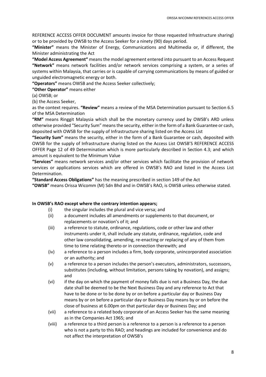REFERENCE ACCESS OFFER DOCUMENT amounts invoice for those requested Infrastructure sharing) or to be provided by OWSB to the Access Seeker for a ninety (90) days period.

**"Minister"** means the Minister of Energy, Communications and Multimedia or, if different, the Minister administrating the Act

**"Model Access Agreement"** means the model agreement entered into pursuant to an Access Request **"Network"** means network facilities and/or network services comprising a system, or a series of systems within Malaysia, that carries or is capable of carrying communications by means of guided or unguided electromagnetic energy or both.

**"Operators"** means OWSB and the Access Seeker collectively;

**"Other Operator"** means either

(a) OWSB; or

(b) the Access Seeker,

as the context requires. **"Review"** means a review of the MSA Determination pursuant to Section 6.5 of the MSA Determination

**"RM"** means Ringgit Malaysia which shall be the monetary currency used by OWSB's ARD unless otherwise provided "Security Sum" means the security, either in the form of a Bank Guarantee or cash, deposited with OWSB for the supply of Infrastructure sharing listed on the Access List

**"Security Sum"** means the security, either in the form of a Bank Guarantee or cash, deposited with OWSB for the supply of Infrastructure sharing listed on the Access List OWSB'S REFERENCE ACCESS OFFER Page 12 of 49 Determination which is more particularly described in Section 4.3; and which amount is equivalent to the Minimum Value

**"Services"** means network services and/or other services which facilitate the provision of network services or applications services which are offered in OWSB's RAO and listed in the Access List Determination.

**"Standard Access Obligations"** has the meaning prescribed in section 149 of the Act

**"OWSB"** means Orissa Wicomm (M) Sdn Bhd and in OWSB's RAO, is OWSB unless otherwise stated.

#### **In OWSB's RAO except where the contrary intention appears;**

- (i) the singular includes the plural and vice versa; and
- (ii) a document includes all amendments or supplements to that document, or replacements or novation's of it; and
- (iii) a reference to statute, ordinance, regulations, code or other law and other instruments under it, shall include any statute, ordinance, regulation, code and other law consolidating, amending, re-enacting or replacing of any of them from time to time relating thereto or in connection therewith; and
- (iv) a reference to a person includes a firm, body corporate, unincorporated association or an authority; and
- (v) a reference to a person includes the person's executors, administrators, successors, substitutes (including, without limitation, persons taking by novation), and assigns; and
- (vi) if the day on which the payment of money falls due is not a Business Day, the due date shall be deemed to be the Next Business Day and any reference to Act that have to be done or to be done by or on before a particular day or Business Day means by or on before a particular day or Business Day means by or on before the close of business at 6.00pm on that particular day or Business Day; and
- (vii) a reference to a related body corporate of an Access Seeker has the same meaning as in the Companies Act 1965; and
- (viii) a reference to a third person is a reference to a person is a reference to a person who is not a party to this RAO; and headings are included for convenience and do not affect the interpretation of OWSB's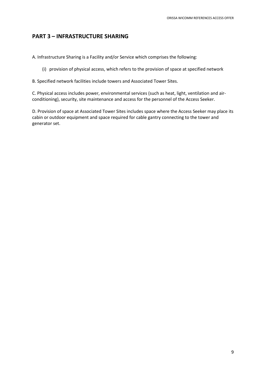# **PART 3 – INFRASTRUCTURE SHARING**

- A. Infrastructure Sharing is a Facility and/or Service which comprises the following:
	- (i) provision of physical access, which refers to the provision of space at specified network
- B. Specified network facilities include towers and Associated Tower Sites.

C. Physical access includes power, environmental services (such as heat, light, ventilation and airconditioning), security, site maintenance and access for the personnel of the Access Seeker.

D. Provision of space at Associated Tower Sites includes space where the Access Seeker may place its cabin or outdoor equipment and space required for cable gantry connecting to the tower and generator set.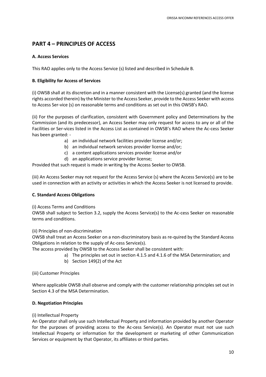# **PART 4 – PRINCIPLES OF ACCESS**

# **A. Access Services**

This RAO applies only to the Access Service (s) listed and described in Schedule B.

# **B. Eligibility for Access of Services**

(i) OWSB shall at its discretion and in a manner consistent with the License(s) granted (and the license rights accorded therein) by the Minister to the Access Seeker, provide to the Access Seeker with access to Access Ser-vice (s) on reasonable terms and conditions as set out in this OWSB's RAO.

(ii) For the purposes of clarification, consistent with Government policy and Determinations by the Commission (and its predecessor), an Access Seeker may only request for access to any or all of the Facilities or Ser-vices listed in the Access List as contained in OWSB's RAO where the Ac-cess Seeker has been granted: -

- a) an individual network facilities provider license and/or;
- b) an individual network services provider license and/or;
- c) a content applications services provider license and/or
- d) an applications service provider license;

Provided that such request is made in writing by the Access Seeker to OWSB.

(iii) An Access Seeker may not request for the Access Service (s) where the Access Service(s) are to be used in connection with an activity or activities in which the Access Seeker is not licensed to provide.

## **C. Standard Access Obligations**

## (i) Access Terms and Conditions

OWSB shall subject to Section 3.2, supply the Access Service(s) to the Ac-cess Seeker on reasonable terms and conditions.

(ii) Principles of non-discrimination

OWSB shall treat an Access Seeker on a non-discriminatory basis as re-quired by the Standard Access Obligations in relation to the supply of Ac-cess Service(s).

The access provided by OWSB to the Access Seeker shall be consistent with:

- a) The principles set out in section 4.1.5 and 4.1.6 of the MSA Determination; and
- b) Section 149(2) of the Act

(iii) Customer Principles

Where applicable OWSB shall observe and comply with the customer relationship principles set out in Section 4.3 of the MSA Determination.

## **D. Negotiation Principles**

## (i) Intellectual Property

An Operator shall only use such Intellectual Property and information provided by another Operator for the purposes of providing access to the Ac-cess Service(s). An Operator must not use such Intellectual Property or information for the development or marketing of other Communication Services or equipment by that Operator, its affiliates or third parties.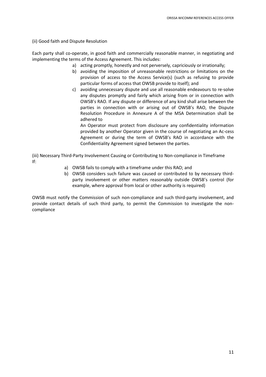(ii) Good faith and Dispute Resolution

Each party shall co-operate, in good faith and commercially reasonable manner, in negotiating and implementing the terms of the Access Agreement. This includes:

- a) acting promptly, honestly and not perversely, capriciously or irrationally;
- b) avoiding the imposition of unreasonable restrictions or limitations on the provision of access to the Access Service(s) (such as refusing to provide particular forms of access that OWSB provide to itself); and
- c) avoiding unnecessary dispute and use all reasonable endeavours to re-solve any disputes promptly and fairly which arising from or in connection with OWSB's RAO. If any dispute or difference of any kind shall arise between the parties in connection with or arising out of OWSB's RAO, the Dispute Resolution Procedure in Annexure A of the MSA Determination shall be adhered to

An Operator must protect from disclosure any confidentiality information provided by another Operator given in the course of negotiating an Ac-cess Agreement or during the term of OWSB's RAO in accordance with the Confidentiality Agreement signed between the parties.

(iii) Necessary Third-Party Involvement Causing or Contributing to Non-compliance in Timeframe If:

- a) OWSB fails to comply with a timeframe under this RAO; and
- b) OWSB considers such failure was caused or contributed to by necessary thirdparty involvement or other matters reasonably outside OWSB's control (for example, where approval from local or other authority is required)

OWSB must notify the Commission of such non-compliance and such third-party involvement, and provide contact details of such third party, to permit the Commission to investigate the noncompliance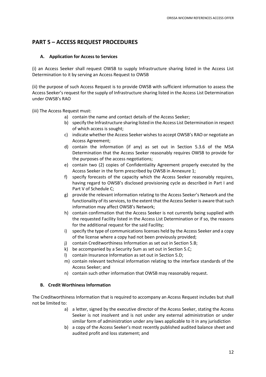# **PART 5 – ACCESS REQUEST PROCEDURES**

# **A. Application for Access to Services**

(i) an Access Seeker shall request OWSB to supply Infrastructure sharing listed in the Access List Determination to it by serving an Access Request to OWSB

(ii) the purpose of such Access Request is to provide OWSB with sufficient information to assess the Access Seeker's request for the supply of Infrastructure sharing listed in the Access List Determination under OWSB's RAO

(iii) The Access Request must:

- a) contain the name and contact details of the Access Seeker;
- b) specify the Infrastructure sharing listed in the Access List Determination in respect of which access is sought;
- c) indicate whether the Access Seeker wishes to accept OWSB's RAO or negotiate an Access Agreement;
- d) contain the information (if any) as set out in Section 5.3.6 of the MSA Determination that the Access Seeker reasonably requires OWSB to provide for the purposes of the access negotiations;
- e) contain two (2) copies of Confidentiality Agreement properly executed by the Access Seeker in the form prescribed by OWSB in Annexure 1;
- f) specify forecasts of the capacity which the Access Seeker reasonably requires, having regard to OWSB's disclosed provisioning cycle as described in Part I and Part V of Schedule C;
- g) provide the relevant information relating to the Access Seeker's Network and the functionality of its services, to the extent that the Access Seeker is aware that such information may affect OWSB's Network;
- h) contain confirmation that the Access Seeker is not currently being supplied with the requested Facility listed in the Access List Determination or if so, the reasons for the additional request for the said Facility;
- i) specify the type of communications licenses held by the Access Seeker and a copy of the license where a copy had not been previously provided;
- j) contain Creditworthiness Information as set out in Section 5.B;
- k) be accompanied by a Security Sum as set out in Section 5.C;
- l) contain Insurance Information as set out in Section 5.D;
- m) contain relevant technical information relating to the interface standards of the Access Seeker; and
- n) contain such other information that OWSB may reasonably request.

## **B. Credit Worthiness Information**

The Creditworthiness Information that is required to accompany an Access Request includes but shall not be limited to:

- a) a letter, signed by the executive director of the Access Seeker, stating the Access Seeker is not insolvent and is not under any external administration or under similar form of administration under any laws applicable to it in any jurisdiction
- b) a copy of the Access Seeker's most recently published audited balance sheet and audited profit and loss statement; and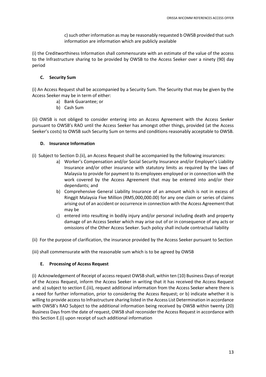c) such other information as may be reasonably requested b OWSB provided that such information are information which are publicly available

(i) the Creditworthiness Information shall commensurate with an estimate of the value of the access to the Infrastructure sharing to be provided by OWSB to the Access Seeker over a ninety (90) day period

# **C. Security Sum**

(i) An Access Request shall be accompanied by a Security Sum. The Security that may be given by the Access Seeker may be in term of either:

- a) Bank Guarantee; or
- b) Cash Sum

(ii) OWSB is not obliged to consider entering into an Access Agreement with the Access Seeker pursuant to OWSB's RAO until the Access Seeker has amongst other things, provided (at the Access Seeker's costs) to OWSB such Security Sum on terms and conditions reasonably acceptable to OWSB.

## **D. Insurance Information**

(i) Subject to Section D.(ii), an Access Request shall be accompanied by the following insurances:

- a) Worker's Compensation and/or Social Security Insurance and/or Employer's Liability Insurance and/or other insurance with statutory limits as required by the laws of Malaysia to provide for payment to its employees employed or in connection with the work covered by the Access Agreement that may be entered into and/or their dependants; and
- b) Comprehensive General Liability Insurance of an amount which is not in excess of Ringgit Malaysia Five Million (RM5,000,000.00) for any one claim or series of claims arising out of an accident or occurrence in connection with the Access Agreement that may be
- c) entered into resulting in bodily injury and/or personal including death and property damage of an Access Seeker which may arise out of or in consequence of any acts or omissions of the Other Access Seeker. Such policy shall include contractual liability
- (ii) For the purpose of clarification, the insurance provided by the Access Seeker pursuant to Section

(iii) shall commensurate with the reasonable sum which is to be agreed by OWSB

## **E. Processing of Access Request**

(i) Acknowledgement of Receipt of access request OWSB shall, within ten (10) Business Days of receipt of the Access Request, inform the Access Seeker in writing that it has received the Access Request and: a) subject to section E.(iii), request additional information from the Access Seeker where there is a need for further information, prior to considering the Access Request; or b) indicate whether it is willing to provide access to Infrastructure sharing listed in the Access List Determination in accordance with OWSB's RAO Subject to the additional information being received by OWSB within twenty (20) Business Days from the date of request, OWSB shall reconsider the Access Request in accordance with this Section E.(i) upon receipt of such additional information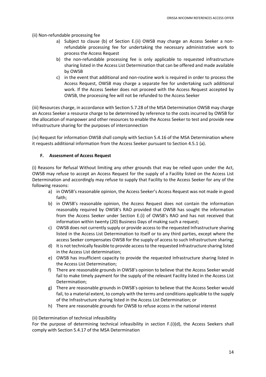(ii) Non-refundable processing fee

- a) Subject to clause (b) of Section E.(ii) OWSB may charge an Access Seeker a nonrefundable processing fee for undertaking the necessary administrative work to process the Access Request
- b) the non-refundable processing fee is only applicable to requested infrastructure sharing listed in the Access List Determination that can be offered and made available by OWSB
- c) in the event that additional and non-routine work is required in order to process the Access Request, OWSB may charge a separate fee for undertaking such additional work. If the Access Seeker does not proceed with the Access Request accepted by OWSB, the processing fee will not be refunded to the Access Seeker

(iii) Resources charge, in accordance with Section 5.7.28 of the MSA Determination OWSB may charge an Access Seeker a resource charge to be determined by reference to the costs incurred by OWSB for the allocation of manpower and other resources to enable the Access Seeker to test and provide new Infrastructure sharing for the purposes of interconnection

(iv) Request for information OWSB shall comply with Section 5.4.16 of the MSA Determination where it requests additional information from the Access Seeker pursuant to Section 4.5.1 (a).

## **F. Assessment of Access Request**

(i) Reasons for Refusal Without limiting any other grounds that may be relied upon under the Act, OWSB may refuse to accept an Access Request for the supply of a Facility listed on the Access List Determination and accordingly may refuse to supply that Facility to the Access Seeker for any of the following reasons:

- a) in OWSB's reasonable opinion, the Access Seeker's Access Request was not made in good faith;
- b) in OWSB's reasonable opinion, the Access Request does not contain the information reasonably required by OWSB's RAO provided that OWSB has sought the information from the Access Seeker under Section E.(i) of OWSB's RAO and has not received that information within twenty (20) Business Days of making such a request;
- c) OWSB does not currently supply or provide access to the requested Infrastructure sharing listed in the Access List Determination to itself or to any third parties, except where the access Seeker compensates OWSB for the supply of access to such Infrastructure sharing;
- d) It is not technically feasible to provide access to the requested Infrastructure sharing listed in the Access List determination;
- e) OWSB has insufficient capacity to provide the requested Infrastructure sharing listed in the Access List Determination;
- f) There are reasonable grounds in OWSB's opinion to believe that the Access Seeker would fail to make timely payment for the supply of the relevant Facility listed in the Access List Determination;
- g) There are reasonable grounds in OWSB's opinion to believe that the Access Seeker would fail, to a material extent, to comply with the terms and conditions applicable to the supply of the Infrastructure sharing listed in the Access List Determination; or
- h) There are reasonable grounds for OWSB to refuse access in the national interest

(ii) Determination of technical infeasibility

For the purpose of determining technical infeasibility in section F.(i)(d), the Access Seekers shall comply with Section 5.4.17 of the MSA Determination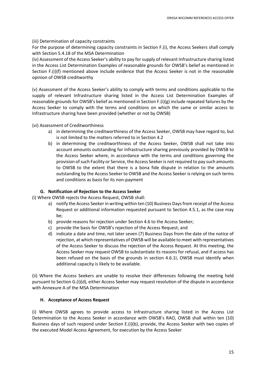## (iii) Determination of capacity constraints

For the purpose of determining capacity constraints in Section F.(i), the Access Seekers shall comply with Section 5.4.18 of the MSA Determination

(iv) Assessment of the Access Seeker's ability to pay for supply of relevant Infrastructure sharing listed in the Access List Determination Examples of reasonable grounds for OWSB's belief as mentioned in Section F.(i)(f) mentioned above include evidence that the Access Seeker is not in the reasonable opinion of OWSB creditworthy

(v) Assessment of the Access Seeker's ability to comply with terms and conditions applicable to the supply of relevant Infrastructure sharing listed in the Access List Determination Examples of reasonable grounds for OWSB's belief as mentioned in Section F.(i)(g) include repeated failures by the Access Seeker to comply with the terms and conditions on which the same or similar access to Infrastructure sharing have been provided (whether or not by OWSB)

(vi) Assessment of Creditworthiness

- a) in determining the creditworthiness of the Access Seeker, OWSB may have regard to, but is not limited to the matters referred to in Section 4.2
- b) in determining the creditworthiness of the Access Seeker, OWSB shall not take into account amounts outstanding for Infrastructure sharing previously provided by OWSB to the Access Seeker where, in accordance with the terms and conditions governing the provision of such Facility or Service, the Access Seeker is not required to pay such amounts to OWSB to the extent that there is a bona fide dispute in relation to the amounts outstanding by the Access Seeker to OWSB and the Access Seeker is relying on such terms and conditions as basis for its non-payment

## **G. Notification of Rejection to the Access Seeker**

(i) Where OWSB rejects the Access Request, OWSB shall:

- a) notify the Access Seeker in writing within ten (10) Business Days from receipt of the Access Request or additional information requested pursuant to Section 4.5.1, as the case may be;
- b) provide reasons for rejection under Section 4.6 to the Access Seeker;
- c) provide the basis for OWSB's rejection of the Access Request; and
- d) indicate a date and time, not later seven (7) Business Days from the date of the notice of rejection, at which representatives of OWSB will be available to meet with representatives of the Access Seeker to discuss the rejection of the Access Request. At this meeting, the Access Seeker may request OWSB to substantiate its reasons for refusal, and if access has been refused on the basis of the grounds in section 4.6.1I, OWSB must identify when additional capacity is likely to be available.

(ii) Where the Access Seekers are unable to resolve their differences following the meeting held pursuant to Section G.(i)(d), either Access Seeker may request resolution of the dispute in accordance with Annexure A of the MSA Determination

## **H. Acceptance of Access Request**

(i) Where OWSB agrees to provide access to Infrastructure sharing listed in the Access List Determination to the Access Seeker in accordance with OWSB's RAO, OWSB shall within ten (10) Business days of such respond under Section E.(i)(b), provide, the Access Seeker with two copies of the executed Model Access Agreement, for execution by the Access Seeker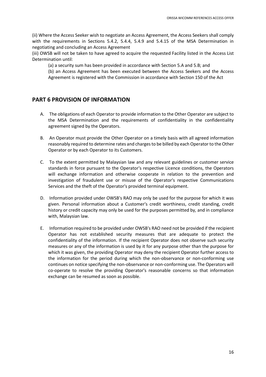(ii) Where the Access Seeker wish to negotiate an Access Agreement, the Access Seekers shall comply with the requirements in Sections 5.4.2, 5.4.4, 5.4.9 and 5.4.15 of the MSA Determination in negotiating and concluding an Access Agreement

(iii) OWSB will not be taken to have agreed to acquire the requested Facility listed in the Access List Determination until:

(a) a security sum has been provided in accordance with Section 5.A and 5.B; and

(b) an Access Agreement has been executed between the Access Seekers and the Access Agreement is registered with the Commission in accordance with Section 150 of the Act

# **PART 6 PROVISION OF INFORMATION**

- A. The obligations of each Operator to provide information to the Other Operator are subject to the MSA Determination and the requirements of confidentiality in the confidentiality agreement signed by the Operators.
- B. An Operator must provide the Other Operator on a timely basis with all agreed information reasonably required to determine rates and charges to be billed by each Operator to the Other Operator or by each Operator to its Customers.
- C. To the extent permitted by Malaysian law and any relevant guidelines or customer service standards in force pursuant to the Operator's respective Licence conditions, the Operators will exchange information and otherwise cooperate in relation to the prevention and investigation of fraudulent use or misuse of the Operator's respective Communications Services and the theft of the Operator's provided terminal equipment.
- D. Information provided under OWSB's RAO may only be used for the purpose for which it was given. Personal information about a Customer's credit worthiness, credit standing, credit history or credit capacity may only be used for the purposes permitted by, and in compliance with, Malaysian law.
- E. Information required to be provided under OWSB's RAO need not be provided if the recipient Operator has not established security measures that are adequate to protect the confidentiality of the information. If the recipient Operator does not observe such security measures or any of the information is used by it for any purpose other than the purpose for which it was given, the providing Operator may deny the recipient Operator further access to the information for the period during which the non-observance or non-conforming use continues on notice specifying the non-observance or non-conforming use. The Operators will co-operate to resolve the providing Operator's reasonable concerns so that information exchange can be resumed as soon as possible.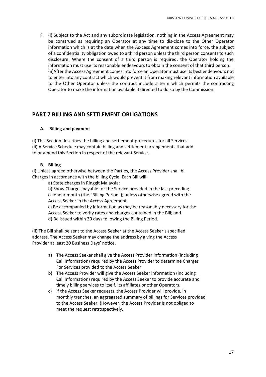F. (i) Subject to the Act and any subordinate legislation, nothing in the Access Agreement may be construed as requiring an Operator at any time to dis-close to the Other Operator information which is at the date when the Ac-cess Agreement comes into force, the subject of a confidentiality obligation owed to a third person unless the third person consents to such disclosure. Where the consent of a third person is required, the Operator holding the information must use its reasonable endeavours to obtain the consent of that third person. (ii)After the Access Agreement comes into force an Operator must use its best endeavours not to enter into any contract which would prevent it from making relevant information available to the Other Operator unless the contract include a term which permits the contracting Operator to make the information available if directed to do so by the Commission.

# **PART 7 BILLING AND SETTLEMENT OBLIGATIONS**

# **A. Billing and payment**

(i) This Section describes the billing and settlement procedures for all Services. (ii) A Service Schedule may contain billing and settlement arrangements that add to or amend this Section in respect of the relevant Service.

# **B. Billing**

(i) Unless agreed otherwise between the Parties, the Access Provider shall bill Charges in accordance with the billing Cycle. Each Bill will:

a) State charges in Ringgit Malaysia;

b) Show Charges payable for the Service provided in the last preceding calendar month (the "Billing Period"); unless otherwise agreed with the Access Seeker in the Access Agreement

c) Be accompanied by information as may be reasonably necessary for the Access Seeker to verify rates and charges contained in the Bill; and d) Be issued within 30 days following the Billing Period.

(ii) The Bill shall be sent to the Access Seeker at the Access Seeker's specified address. The Access Seeker may change the address by giving the Access Provider at least 20 Business Days' notice.

- a) The Access Seeker shall give the Access Provider information (including Call Information) required by the Access Provider to determine Charges For Services provided to the Access Seeker.
- b) The Access Provider will give the Access Seeker information (including Call Information) required by the Access Seeker to provide accurate and timely billing services to itself, its affiliates or other Operators.
- c) If the Access Seeker requests, the Access Provider will provide, in monthly trenches, an aggregated summary of billings for Services provided to the Access Seeker. (However, the Access Provider is not obliged to meet the request retrospectively.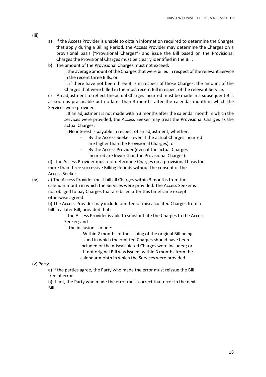- (iii)
- a) If the Access Provider is unable to obtain information required to determine the Charges that apply during a Billing Period, the Access Provider may determine the Charges on a provisional basis ("Provisional Charges") and issue the Bill based on the Provisional Charges the Provisional Charges must be clearly identified in the Bill.
- b) The amount of the Provisional Charges must not exceed:

i. the average amount of the Charges that were billed in respect of the relevant Service in the recent three Bills; or

ii. if there have not been three Bills in respect of those Charges, the amount of the Charges that were billed in the most recent Bill in espect of the relevant Service.

c) An adjustment to reflect the actual Charges incurred must be made in a subsequent Bill, as soon as practicable but no later than 3 months after the calendar month in which the Services were provided.

i. If an adjustment is not made within 3 months after the calendar month in which the services were provided, the Access Seeker may treat the Provisional Charges as the actual Charges.

ii. No interest is payable in respect of an adjustment, whether:

- By the Access Seeker (even if the actual Charges incurred are higher than the Provisional Charges); or
- By the Access Provider (even if the actual Charges incurred are lower than the Provisional Charges).

d) the Access Provider must not determine Charges on a provisional basis for more than three successive Billing Periods without the consent of the Access Seeker.

(iv) a) The Access Provider must bill all Charges within 3 months from the calendar month in which the Services were provided. The Access Seeker is not obliged to pay Charges that are billed after this timeframe except otherwise agreed.

b) The Access Provider may include omitted or miscalculated Charges from a bill in a later Bill, provided that:

i. the Access Provider is able to substantiate the Charges to the Access Seeker; and

ii. the inclusion is made:

- Within 2 months of the issuing of the original Bill being issued in which the omitted Charges should have been included or the miscalculated Charges were included; or - If not original Bill was issued, within 3 months from the calendar month in which the Services were provided.

(v) Party.

a) If the parties agree, the Party who made the error must reissue the Bill free of error.

b) If not, the Party who made the error must correct that error in the next Bill.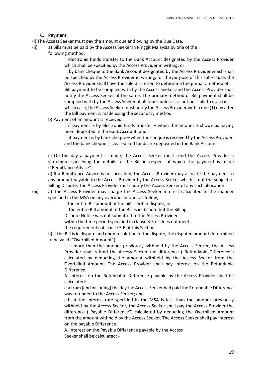## **C. Payment**

- (i) The Access Seeker must pay the amount due and owing by the Due Date.
- (ii) a) Bills must be paid by the Access Seeker in Ringgit Malaysia by one of the
	- following method:

i. electronic funds transfer to the Bank Account designated by the Access Provider which shall be specified by the Access Provider in writing; or

ii. by bank cheque to the Bank Account designated by the Access Provider which shall be specified by the Access Provider in writing, for the purpose of this sub-clause, the Access Provider shall have the sole discretion to determine the primary method of Bill payment to be complied with by the Access Seeker and the Access Provider shall notify the Access Seeker of the same. The primary method of Bill payment shall be complied with by the Access Seeker at all times unless it is not possible to do so in which case, the Access Seeker must notify the Access Provider within one (1) day after the Bill payment is made using the secondary method.

b) Payment of an amount is received:

i. if payment is by electronic funds transfer – when the amount is shown as having been deposited in the Bank Account; and

ii. if payment is by bank cheque – when the cheque is received by the Access Provider, and the bank cheque is cleared and funds are deposited in the Bank Account

c) On the day a payment is made, the Access Seeker must send the Access Provider a statement specifying the details of the Bill in respect of which the payment is made ("Remittance Advice").

d) If a Remittance Advice is not provided, the Access Provider may allocate the payment to any amount payable to the Access Provider by the Access Seeker which is not the subject of Billing Dispute. The Access Provider must notify the Access Seeker of any such allocation.

(iii) a) The Access Provider may charge the Access Seeker interest calculated in the manner specified in the MSA on any overdue amount as follow;

i. the entire Bill amount, if the bill is not in dispute; or

ii. the entire Bill amount, if the Bill is in dispute but the Billing

Dispute Notice was not submitted to the Access Provider

within the time period specified in clause 3.5 or does not meet

the requirements of clause 5.E of this Section.

b) If the Bill is in dispute and upon resolution of the dispute, the disputed amount determined to be valid ("Overbilled Amount"):

i. is more than the amount previously withheld by the Access Seeker, the Access Provider shall refund the Access Seeker the difference ("Refundable Difference") calculated by deducting the amount withheld by the Access Seeker from the Overbilled Amount. The Access Provider shall pay interest on the Refundable Difference.

A. Interest on the Refundable Difference payable by the Access Provider shall be calculated: -

a.a from (and including) the day the Access Seeker had paid the Refundable Difference was refunded to the Access Seeker; and

a.b at the interest rate specified in the MSA is less than the amount previously withheld by the Access Seeker, the Access Seeker shall pay the Access Provider the difference ("Payable Difference") calculated by deducting the Overbilled Amount from the amount withheld by the Access Seeker. The Access Seeker shall pay interest on the payable Difference.

A. Interest on the Payable Difference payable by the Access Seeker shall be calculated: -

19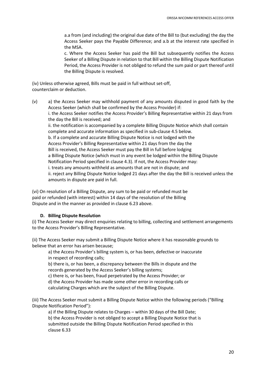a.a from (and including) the original due date of the Bill to (but excluding) the day the Access Seeker pays the Payable Difference; and a.b at the interest rate specified in the MSA.

c. Where the Access Seeker has paid the Bill but subsequently notifies the Access Seeker of a Billing Dispute in relation to that Bill within the Billing Dispute Notification Period, the Access Provider is not obliged to refund the sum paid or part thereof until the Billing Dispute is resolved.

(iv) Unless otherwise agreed, Bills must be paid in full without set-off, counterclaim or deduction.

(v) a) the Access Seeker may withhold payment of any amounts disputed in good faith by the Access Seeker (which shall be confirmed by the Access Provider) if: i. the Access Seeker notifies the Access Provider's Billing Representative within 21 days from the day the Bill is received; and ii. the notification is accompanied by a complete Billing Dispute Notice which shall contain complete and accurate information as specified in sub-clause 4.5 below. b. If a complete and accurate Billing Dispute Notice is not lodged with the Access Provider's Billing Representative within 21 days from the day the Bill is received, the Access Seeker must pay the Bill in full before lodging a Billing Dispute Notice (which must in any event be lodged within the Billing Dispute Notification Period specified in clause 4.3). If not, the Access Provider may: i. treats any amounts withheld as amounts that are not in dispute; and ii. reject any Billing Dispute Notice lodged 21 days after the day the Bill is received unless the amounts in dispute are paid in full.

(vi) On resolution of a Billing Dispute, any sum to be paid or refunded must be paid or refunded (with interest) within 14 days of the resolution of the Billing Dispute and in the manner as provided in clause 6.23 above.

## **D. Billing Dispute Resolution**

(i) The Access Seeker may direct enquiries relating to billing, collecting and settlement arrangements to the Access Provider's Billing Representative.

(ii) The Access Seeker may submit a Billing Dispute Notice where it has reasonable grounds to believe that an error has arisen because;

a) the Access Provider's billing system is, or has been, defective or inaccurate in respect of recording calls;

b) there is, or has been, a discrepancy between the Bills in dispute and the records generated by the Access Seeker's billing systems;

c) there is, or has been, fraud perpetrated by the Access Provider; or

d) the Access Provider has made some other error in recording calls or

calculating Charges which are the subject of the Billing Dispute.

(iii) The Access Seeker must submit a Billing Dispute Notice within the following periods ("Billing Dispute Notification Period"):

a) if the Billing Dispute relates to Charges – within 30 days of the Bill Date; b) the Access Provider is not obliged to accept a Billing Dispute Notice that is submitted outside the Billing Dispute Notification Period specified in this clause 6.33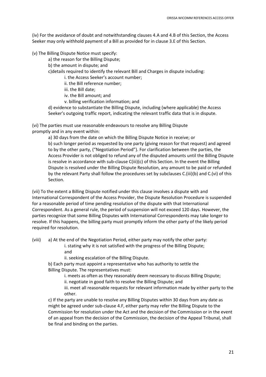(iv) For the avoidance of doubt and notwithstanding clauses 4.A and 4.B of this Section, the Access Seeker may only withhold payment of a Bill as provided for in clause 3.E of this Section.

(v) The Billing Dispute Notice must specify:

- a) the reason for the Billing Dispute;
- b) the amount in dispute; and

c)details required to identify the relevant Bill and Charges in dispute including:

i. the Access Seeker's account number;

ii. the Bill reference number;

- iii. the Bill date;
- iv. the Bill amount; and
- v. billing verification information; and

d) evidence to substantiate the Billing Dispute, including (where applicable) the Access Seeker's outgoing traffic report, indicating the relevant traffic data that is in dispute.

(vi) The parties must use reasonable endeavours to resolve any Billing Dispute promptly and in any event within:

> a) 30 days from the date on which the Billing Dispute Notice in receive; or b) such longer period as requested by one party (giving reason for that request) and agreed to by the other party, ("Negotiation Period"). For clarification between the parties, the Access Provider is not obliged to refund any of the disputed amounts until the Billing Dispute is resolve in accordance with sub-clause C(iii)(c) of this Section. In the event the Billing Dispute is resolved under the Billing Dispute Resolution, any amount to be paid or refunded by the relevant Party shall follow the procedures set by subclauses C.(iii)(b) and C.(vi) of this Section.

(vii) To the extent a Billing Dispute notified under this clause involves a dispute with and International Correspondent of the Access Provider, the Dispute Resolution Procedure is suspended for a reasonable period of time pending resolution of the dispute with that International Correspondent. As a general rule, the period of suspension will not exceed 120 days. However, the parties recognize that some Billing Disputes with International Correspondents may take longer to resolve. If this happens, the billing party must promptly inform the other party of the likely period required for resolution.

(viii) a) At the end of the Negotiation Period, either party may notify the other party:

i. stating why it is not satisfied with the progress of the Billing Dispute; and

ii. seeking escalation of the Billing Dispute.

b) Each party must appoint a representative who has authority to settle the Billing Dispute. The representatives must:

i. meets as often as they reasonably deem necessary to discuss Billing Dispute;

ii. negotiate in good faith to resolve the Billing Dispute; and

iii. meet all reasonable requests for relevant information made by either party to the other.

c) If the party are unable to resolve any Billing Disputes within 30 days from any date as might be agreed under sub-clause 4.F, either party may refer the Billing Dispute to the Commission for resolution under the Act and the decision of the Commission or in the event of an appeal from the decision of the Commission, the decision of the Appeal Tribunal, shall be final and binding on the parties.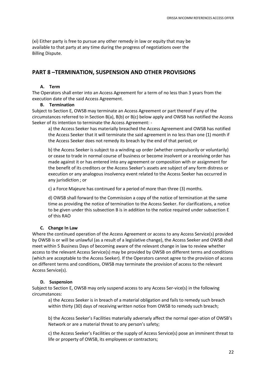(xi) Either party is free to pursue any other remedy in law or equity that may be available to that party at any time during the progress of negotiations over the Billing Dispute.

# **PART 8 –TERMINATION, SUSPENSION AND OTHER PROVISIONS**

# **A. Term**

The Operators shall enter into an Access Agreement for a term of no less than 3 years from the execution date of the said Access Agreement.

# **B. Termination**

Subject to Section E, OWSB may terminate an Access Agreement or part thereof if any of the circumstances referred to in Section B(a), B(b) or B(c) below apply and OWSB has notified the Access Seeker of its intention to terminate the Access Agreement: -

a) the Access Seeker has materially breached the Access Agreement and OWSB has notified the Access Seeker that it will terminate the said agreement in no less than one (1) month if the Access Seeker does not remedy its breach by the end of that period; or

b) the Access Seeker is subject to a winding up order (whether compulsorily or voluntarily) or cease to trade in normal course of business or become insolvent or a receiving order has made against it or has entered into any agreement or composition with or assignment for the benefit of its creditors or the Access Seeker's assets are subject of any form distress or execution or any analogous insolvency event related to the Access Seeker has occurred in any jurisdiction ; or

c) a Force Majeure has continued for a period of more than three (3) months.

d) OWSB shall forward to the Commission a copy of the notice of termination at the same time as providing the notice of termination to the Access Seeker. For clarifications, a notice to be given under this subsection B is in addition to the notice required under subsection E of this RAO

# **C. Change In Law**

Where the continued operation of the Access Agreement or access to any Access Service(s) provided by OWSB is or will be unlawful (as a result of a legislative change), the Access Seeker and OWSB shall meet within 5 Business Days of becoming aware of the relevant change in law to review whether access to the relevant Access Service(s) may be provided by OWSB on different terms and conditions (which are acceptable to the Access Seeker). If the Operators cannot agree to the provision of access on different terms and conditions, OWSB may terminate the provision of access to the relevant Access Service(s).

## **D. Suspension**

Subject to Section E, OWSB may only suspend access to any Access Ser-vice(s) in the following circumstances:

a) the Access Seeker is in breach of a material obligation and fails to remedy such breach within thirty (30) days of receiving written notice from OWSB to remedy such breach;

b) the Access Seeker's Facilities materially adversely affect the normal oper-ation of OWSB's Network or are a material threat to any person's safety;

c) the Access Seeker's Facilities or the supply of Access Service(s) pose an imminent threat to life or property of OWSB, its employees or contractors;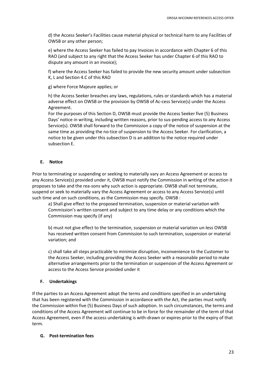d) the Access Seeker's Facilities cause material physical or technical harm to any Facilities of OWSB or any other person;

e) where the Access Seeker has failed to pay Invoices in accordance with Chapter 6 of this RAO (and subject to any right that the Access Seeker has under Chapter 6 of this RAO to dispute any amount in an invoice);

f) where the Access Seeker has failed to provide the new security amount under subsection K, L and Section 4.C of this RAO

g) where Force Majeure applies; or

h) the Access Seeker breaches any laws, regulations, rules or standards which has a material adverse effect on OWSB or the provision by OWSB of Ac-cess Service(s) under the Access Agreement.

For the purposes of this Section D, OWSB must provide the Access Seeker five (5) Business Days' notice in writing, including written reasons, prior to sus-pending access to any Access Service(s). OWSB shall forward to the Commission a copy of the notice of suspension at the same time as providing the no-tice of suspension to the Access Seeker. For clarification, a notice to be given under this subsection D is an addition to the notice required under subsection E.

#### **E. Notice**

Prior to terminating or suspending or seeking to materially vary an Access Agreement or access to any Access Service(s) provided under it, OWSB must notify the Commission in writing of the action it proposes to take and the rea-sons why such action is appropriate. OWSB shall not terminate, suspend or seek to materially vary the Access Agreement or access to any Access Service(s) until such time and on such conditions, as the Commission may specify. OWSB :

a) Shall give effect to the proposed termination, suspension or material variation with Commission's written consent and subject to any time delay or any conditions which the Commission may specify (if any)

b) must not give effect to the termination, suspension or material variation un-less OWSB has received written consent from Commission to such termination, suspension or material variation; and

c) shall take all steps practicable to minimize disruption, inconvenience to the Customer to the Access Seeker, including providing the Access Seeker with a reasonable period to make alternative arrangements prior to the termination or suspension of the Access Agreement or access to the Access Service provided under it

## **F. Undertakings**

If the parties to an Access Agreement adopt the terms and conditions specified in an undertaking that has been registered with the Commission in accordance with the Act, the parties must notify the Commission within five (5) Business Days of such adoption. In such circumstances, the terms and conditions of the Access Agreement will continue to be in force for the remainder of the term of that Access Agreement, even if the access undertaking is with-drawn or expires prior to the expiry of that term.

#### **G. Post-termination fees**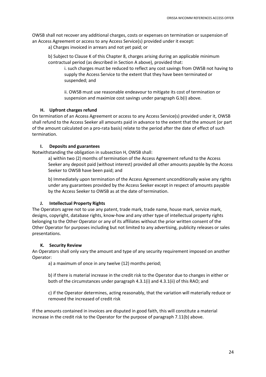OWSB shall not recover any additional charges, costs or expenses on termination or suspension of an Access Agreement or access to any Access Service(s) provided under it except:

a) Charges invoiced in arrears and not yet paid; or

b) Subject to Clause K of this Chapter 8, charges arising during an applicable minimum contractual period (as described in Section A above), provided that:

i. such charges must be reduced to reflect any cost savings from OWSB not having to supply the Access Service to the extent that they have been terminated or suspended; and

ii. OWSB must use reasonable endeavour to mitigate its cost of termination or suspension and maximize cost savings under paragraph G.b(i) above.

# **H. Upfront charges refund**

On termination of an Access Agreement or access to any Access Service(s) provided under it, OWSB shall refund to the Access Seeker all amounts paid in advance to the extent that the amount (or part of the amount calculated on a pro-rata basis) relate to the period after the date of effect of such termination.

## **I. Deposits and guarantees**

Notwithstanding the obligation in subsection H, OWSB shall:

a) within two (2) months of termination of the Access Agreement refund to the Access Seeker any deposit paid (without interest) provided all other amounts payable by the Access Seeker to OWSB have been paid; and

b) Immediately upon termination of the Access Agreement unconditionally waive any rights under any guarantees provided by the Access Seeker except in respect of amounts payable by the Access Seeker to OWSB as at the date of termination.

## **J. Intellectual Property Rights**

The Operators agree not to use any patent, trade mark, trade name, house mark, service mark, designs, copyright, database rights, know-how and any other type of intellectual property rights belonging to the Other Operator or any of its affiliates without the prior written consent of the Other Operator for purposes including but not limited to any advertising, publicity releases or sales presentations.

## **K. Security Review**

An Operators shall only vary the amount and type of any security requirement imposed on another Operator:

a) a maximum of once in any twelve (12) months period;

b) if there is material increase in the credit risk to the Operator due to changes in either or both of the circumstances under paragraph 4.3.1(i) and 4.3.1(ii) of this RAO; and

c) if the Operator determines, acting reasonably, that the variation will materially reduce or removed the increased of credit risk

If the amounts contained in invoices are disputed in good faith, this will constitute a material increase in the credit risk to the Operator for the purpose of paragraph 7.11(b) above.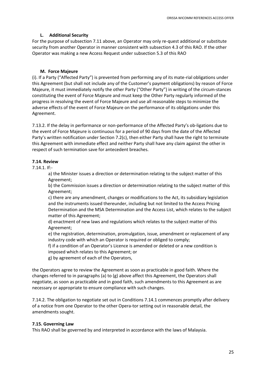## **L. Additional Security**

For the purpose of subsection 7.11 above, an Operator may only re-quest additional or substitute security from another Operator in manner consistent with subsection 4.3 of this RAO. If the other Operator was making a new Access Request under subsection 5.3 of this RAO

## **M. Force Majeure**

(i). If a Party ("Affected Party") is prevented from performing any of its mate-rial obligations under this Agreement (but shall not include any of the Customer's payment obligations) by reason of Force Majeure, it must immediately notify the other Party ("Other Party") in writing of the circum-stances constituting the event of Force Majeure and must keep the Other Party regularly informed of the progress in resolving the event of Force Majeure and use all reasonable steps to minimize the adverse effects of the event of Force Majeure on the performance of its obligations under this Agreement.

7.13.2. If the delay in performance or non-performance of the Affected Party's ob-ligations due to the event of Force Majeure is continuous for a period of 90 days from the date of the Affected Party's written notification under Section 7.2(c), then either Party shall have the right to terminate this Agreement with immediate effect and neither Party shall have any claim against the other in respect of such termination save for antecedent breaches.

# **7.14. Review**

7.14.1. If:-

a) the Minister issues a direction or determination relating to the subject matter of this Agreement;

b) the Commission issues a direction or determination relating to the subject matter of this Agreement;

c) there are any amendment, changes or modifications to the Act, its subsidiary legislation and the instruments issued thereunder, including but not limited to the Access Pricing Determination and the MSA Determination and the Access List, which relates to the subject matter of this Agreement;

d) enactment of new laws and regulations which relates to the subject matter of this Agreement;

e) the registration, determination, promulgation, issue, amendment or replacement of any industry code with which an Operator is required or obliged to comply;

f) if a condition of an Operator's Licence is amended or deleted or a new condition is imposed which relates to this Agreement; or

g) by agreement of each of the Operators,

the Operators agree to review the Agreement as soon as practicable in good faith. Where the changes referred to in paragraphs (a) to (g) above affect this Agreement, the Operators shall negotiate, as soon as practicable and in good faith, such amendments to this Agreement as are necessary or appropriate to ensure compliance with such changes.

7.14.2. The obligation to negotiate set out in Conditions 7.14.1 commences promptly after delivery of a notice from one Operator to the other Opera-tor setting out in reasonable detail, the amendments sought.

## **7.15. Governing Law**

This RAO shall be governed by and interpreted in accordance with the laws of Malaysia.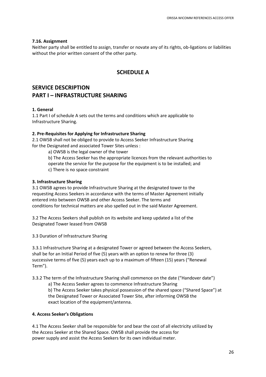## **7.16. Assignment**

Neither party shall be entitled to assign, transfer or novate any of its rights, ob-ligations or liabilities without the prior written consent of the other party.

# **SCHEDULE A**

# **SERVICE DESCRIPTION PART I – INFRASTRUCTURE SHARING**

# **1. General**

1.1 Part I of schedule A sets out the terms and conditions which are applicable to Infrastructure Sharing.

# **2. Pre-Requisites for Applying for Infrastructure Sharing**

2.1 OWSB shall not be obliged to provide to Access Seeker Infrastructure Sharing for the Designated and associated Tower Sites unless :

a) OWSB is the legal owner of the tower

b) The Access Seeker has the appropriate licences from the relevant authorities to operate the service for the purpose for the equipment is to be installed; and c) There is no space constraint

## **3. Infrastructure Sharing**

3.1 OWSB agrees to provide Infrastructure Sharing at the designated tower to the requesting Access Seekers in accordance with the terms of Master Agreement initially entered into between OWSB and other Access Seeker. The terms and conditions for technical matters are also spelled out in the said Master Agreement.

3.2 The Access Seekers shall publish on its website and keep updated a list of the Designated Tower leased from OWSB

3.3 Duration of Infrastructure Sharing

3.3.1 Infrastructure Sharing at a designated Tower or agreed between the Access Seekers, shall be for an Initial Period of five (5) years with an option to renew for three (3) successive terms of five (5) years each up to a maximum of fifteen (15) years ("Renewal Term").

3.3.2 The term of the Infrastructure Sharing shall commence on the date ("Handover date")

a) The Access Seeker agrees to commence Infrastructure Sharing b) The Access Seeker takes physical possession of the shared space ("Shared Space") at the Designated Tower or Associated Tower Site, after informing OWSB the exact location of the equipment/antenna.

## **4. Access Seeker's Obligations**

4.1 The Access Seeker shall be responsible for and bear the cost of all electricity utilized by the Access Seeker at the Shared Space. OWSB shall provide the access for power supply and assist the Access Seekers for its own individual meter.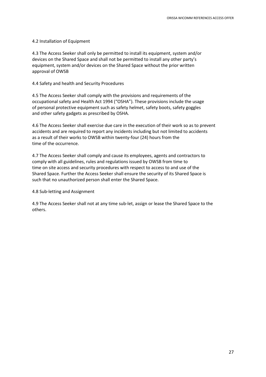#### 4.2 Installation of Equipment

4.3 The Access Seeker shall only be permitted to install its equipment, system and/or devices on the Shared Space and shall not be permitted to install any other party's equipment, system and/or devices on the Shared Space without the prior written approval of OWSB

#### 4.4 Safety and health and Security Procedures

4.5 The Access Seeker shall comply with the provisions and requirements of the occupational safety and Health Act 1994 ("OSHA"). These provisions include the usage of personal protective equipment such as safety helmet, safety boots, safety goggles and other safety gadgets as prescribed by OSHA.

4.6 The Access Seeker shall exercise due care in the execution of their work so as to prevent accidents and are required to report any incidents including but not limited to accidents as a result of their works to OWSB within twenty-four (24) hours from the time of the occurrence.

4.7 The Access Seeker shall comply and cause its employees, agents and contractors to comply with all guidelines, rules and regulations issued by OWSB from time to time on site access and security procedures with respect to access to and use of the Shared Space. Further the Access Seeker shall ensure the security of its Shared Space is such that no unauthorized person shall enter the Shared Space.

#### 4.8 Sub-letting and Assignment

4.9 The Access Seeker shall not at any time sub-let, assign or lease the Shared Space to the others.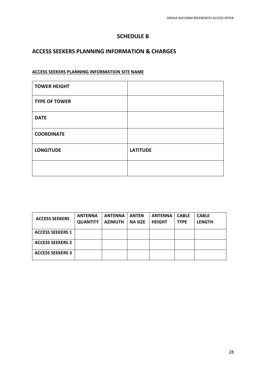# **SCHEDULE B**

# **ACCESS SEEKERS PLANNING INFORMATION & CHARGES**

# **ACCESS SEEKERS PLANNING INFORMATION SITE NAME**

| <b>TOWER HEIGHT</b>  |                 |
|----------------------|-----------------|
| <b>TYPE OF TOWER</b> |                 |
| <b>DATE</b>          |                 |
| <b>COORDINATE</b>    |                 |
| <b>LONGITUDE</b>     | <b>LATITUDE</b> |
|                      |                 |

| <b>ACCESS SEEKERS</b>   | <b>ANTENNA</b><br><b>QUANTITY</b> | <b>ANTENNA</b><br><b>AZIMUTH</b> | <b>ANTEN</b><br><b>NA SIZE</b> | <b>ANTENNA</b><br><b>HEIGHT</b> | <b>CABLE</b><br><b>TYPE</b> | <b>CABLE</b><br><b>LENGTH</b> |
|-------------------------|-----------------------------------|----------------------------------|--------------------------------|---------------------------------|-----------------------------|-------------------------------|
| <b>ACCESS SEEKERS 1</b> |                                   |                                  |                                |                                 |                             |                               |
| <b>ACCESS SEEKERS 2</b> |                                   |                                  |                                |                                 |                             |                               |
| <b>ACCESS SEEKERS 3</b> |                                   |                                  |                                |                                 |                             |                               |